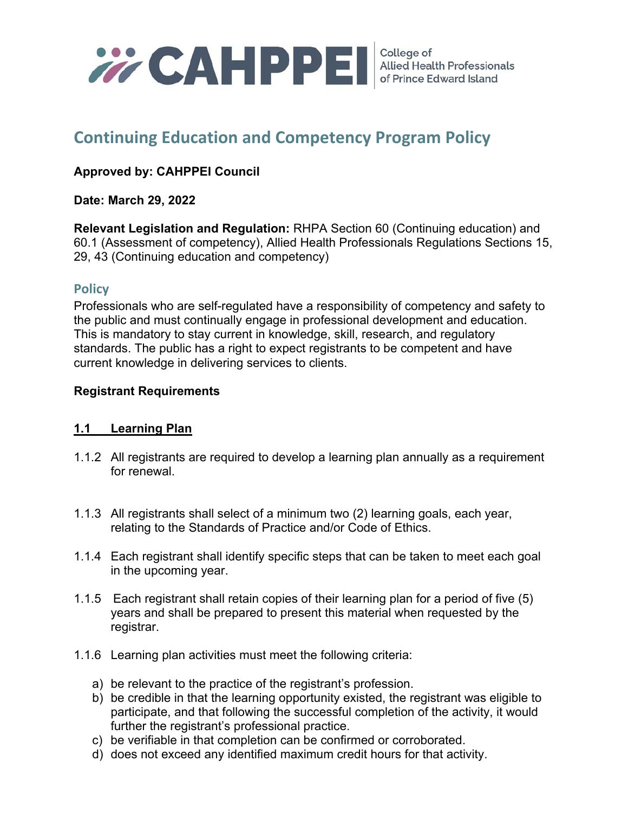

# **Continuing Education and Competency Program Policy**

## **Approved by: CAHPPEI Council**

#### **Date: March 29, 2022**

**Relevant Legislation and Regulation:** RHPA Section 60 (Continuing education) and 60.1 (Assessment of competency), Allied Health Professionals Regulations Sections 15, 29, 43 (Continuing education and competency)

## **Policy**

Professionals who are self-regulated have a responsibility of competency and safety to the public and must continually engage in professional development and education. This is mandatory to stay current in knowledge, skill, research, and regulatory standards. The public has a right to expect registrants to be competent and have current knowledge in delivering services to clients.

#### **Registrant Requirements**

## **1.1 Learning Plan**

- 1.1.2 All registrants are required to develop a learning plan annually as a requirement for renewal.
- 1.1.3 All registrants shall select of a minimum two (2) learning goals, each year, relating to the Standards of Practice and/or Code of Ethics.
- 1.1.4 Each registrant shall identify specific steps that can be taken to meet each goal in the upcoming year.
- 1.1.5 Each registrant shall retain copies of their learning plan for a period of five (5) years and shall be prepared to present this material when requested by the registrar.
- 1.1.6 Learning plan activities must meet the following criteria:
	- a) be relevant to the practice of the registrant's profession.
	- b) be credible in that the learning opportunity existed, the registrant was eligible to participate, and that following the successful completion of the activity, it would further the registrant's professional practice.
	- c) be verifiable in that completion can be confirmed or corroborated.
	- d) does not exceed any identified maximum credit hours for that activity.